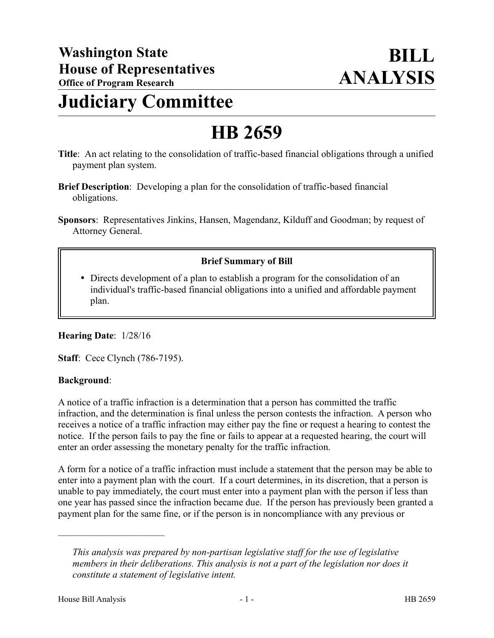## **Judiciary Committee**

# **HB 2659**

- **Title**: An act relating to the consolidation of traffic-based financial obligations through a unified payment plan system.
- **Brief Description**: Developing a plan for the consolidation of traffic-based financial obligations.
- **Sponsors**: Representatives Jinkins, Hansen, Magendanz, Kilduff and Goodman; by request of Attorney General.

### **Brief Summary of Bill**

 Directs development of a plan to establish a program for the consolidation of an individual's traffic-based financial obligations into a unified and affordable payment plan.

#### **Hearing Date**: 1/28/16

**Staff**: Cece Clynch (786-7195).

#### **Background**:

A notice of a traffic infraction is a determination that a person has committed the traffic infraction, and the determination is final unless the person contests the infraction. A person who receives a notice of a traffic infraction may either pay the fine or request a hearing to contest the notice. If the person fails to pay the fine or fails to appear at a requested hearing, the court will enter an order assessing the monetary penalty for the traffic infraction.

A form for a notice of a traffic infraction must include a statement that the person may be able to enter into a payment plan with the court. If a court determines, in its discretion, that a person is unable to pay immediately, the court must enter into a payment plan with the person if less than one year has passed since the infraction became due. If the person has previously been granted a payment plan for the same fine, or if the person is in noncompliance with any previous or

––––––––––––––––––––––

*This analysis was prepared by non-partisan legislative staff for the use of legislative members in their deliberations. This analysis is not a part of the legislation nor does it constitute a statement of legislative intent.*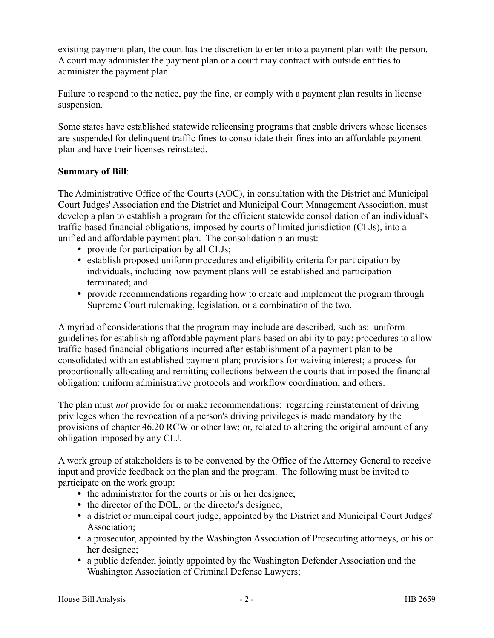existing payment plan, the court has the discretion to enter into a payment plan with the person. A court may administer the payment plan or a court may contract with outside entities to administer the payment plan.

Failure to respond to the notice, pay the fine, or comply with a payment plan results in license suspension.

Some states have established statewide relicensing programs that enable drivers whose licenses are suspended for delinquent traffic fines to consolidate their fines into an affordable payment plan and have their licenses reinstated.

#### **Summary of Bill**:

The Administrative Office of the Courts (AOC), in consultation with the District and Municipal Court Judges' Association and the District and Municipal Court Management Association, must develop a plan to establish a program for the efficient statewide consolidation of an individual's traffic-based financial obligations, imposed by courts of limited jurisdiction (CLJs), into a unified and affordable payment plan. The consolidation plan must:

- provide for participation by all CLJs;
- establish proposed uniform procedures and eligibility criteria for participation by individuals, including how payment plans will be established and participation terminated; and
- provide recommendations regarding how to create and implement the program through Supreme Court rulemaking, legislation, or a combination of the two.

A myriad of considerations that the program may include are described, such as: uniform guidelines for establishing affordable payment plans based on ability to pay; procedures to allow traffic-based financial obligations incurred after establishment of a payment plan to be consolidated with an established payment plan; provisions for waiving interest; a process for proportionally allocating and remitting collections between the courts that imposed the financial obligation; uniform administrative protocols and workflow coordination; and others.

The plan must *not* provide for or make recommendations: regarding reinstatement of driving privileges when the revocation of a person's driving privileges is made mandatory by the provisions of chapter 46.20 RCW or other law; or, related to altering the original amount of any obligation imposed by any CLJ.

A work group of stakeholders is to be convened by the Office of the Attorney General to receive input and provide feedback on the plan and the program. The following must be invited to participate on the work group:

- the administrator for the courts or his or her designee;
- the director of the DOL, or the director's designee;
- a district or municipal court judge, appointed by the District and Municipal Court Judges' Association;
- a prosecutor, appointed by the Washington Association of Prosecuting attorneys, or his or her designee;
- a public defender, jointly appointed by the Washington Defender Association and the Washington Association of Criminal Defense Lawyers;